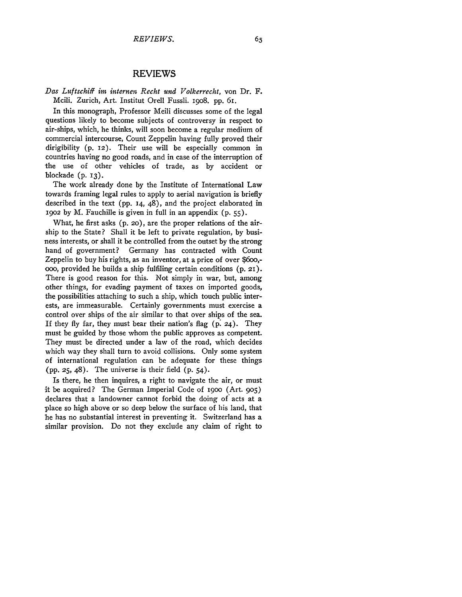## REVIEWS

## *Das Luftschiff im internen Recht und Volkerrecht,* von Dr. F. Mcili. Zurich, Art. Institut Orell Fussli. 19o8. pp. 6i.

In this monograph, Professor Meili discusses some of the legal questions likely to become subjects of controversy in respect to air-ships, which, he thinks, will soon become a regular medium of commercial intercourse, Count Zeppelin having fully proved their dirigibility (p. 12). Their use will be especially common in countries having no good roads, and in case of the interruption of the use of other vehicles of trade, as by accident or blockade (p. **13).**

The work already done by the Institute of International Law towards framing legal rules to apply to aerial navigation is briefly described in the text (pp. **14,** 48), and the project elaborated in i9O2 by M. Fauchille is given in full in an appendix (p. **55).**

What, he first asks (p. **20),** are the proper relations of the airship to the State? Shall it be left to private regulation, by business interests, or shall it be controlled from the outset by the strong hand of government? Germany has contracted with Count Zeppelin to buy his rights, as an inventor, at a price of over **\$600,** ooo, provided he builds a ship fulfiling certain conditions (p. 21). There is good reason for this. Not simply in war, but, among other things, for evading payment of taxes on imported goods, the possibilities attaching to such a ship, which touch public interests, are immeasurable. Certainly governments must exercise a control over ships of the air similar to that over ships of the sea. If they fly far, they must bear their nation's flag **(p.** 24). They must be guided by those whom the public approves as competent. They must be directed under a law of the road, which decides which way they shall turn to avoid collisions. Only some system of international regulation can be adequate for these things (pp. *25,* 48). The universe is their field (p. 54).

Is there, he then inquires, a right to navigate the air, or must it be acquired? The German Imperial Code of Igoo (Art. **905)** declares that a landowner cannot forbid the doing of acts at a place so high above or so deep below the surface of his land, that he has no substantial interest in preventing it. Switzerland has a similar provision. Do not they exclude any claim of right to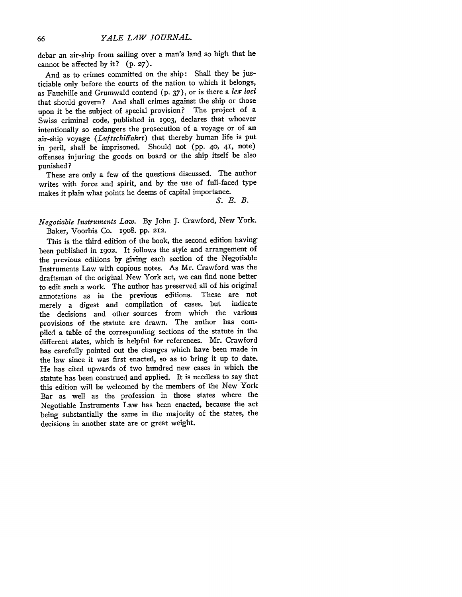debar an air-ship from sailing over a man's land so high that he cannot be affected by it? (p. **27).**

And as to crimes committed on the ship: Shall they be justiciable only before the courts of the nation to which it belongs, as Fauchille and Grumwald contend (p. 37), or is there a *lex loci* that should govern? And shall crimes against the ship or those upon it be the subject of special provision? The project of a Swiss criminal code, published in 1903, declares that whoever intentionally so endangers the prosecution of a voyage or of an air-ship voyage *(Luftschiffahrt)* that thereby human life is put in peril, shall be imprisoned. Should not (pp. **40, 41,** note) offenses injuring the goods on board or the ship itself be also punished?

These are only a few of the questions discussed. The author writes with force and spirit, and by the use of full-faced type makes it plain what points he deems of capital importance.

*S.E.B.*

*Negotiable Instruments Law.* **By** John **J.** Crawford, New York. Baker, Voorhis Co. **1908. pp.** 212.

This is the third edition of the book, the second edition having been published in 1902. It follows the style and arrangement of the previous editions by giving each section of the Negotiable Instruments Law with copious notes. As Mr. Crawford was the draftsman of the original New York act, we can find none better to edit such a work. The author has preserved all of his original annotations as in the previous editions. These are not merely a digest and compilation of cases, but the decisions and other sources from which the various provisions of the statute are drawn. The author has compiled a table of the corresponding sections of the statute in the different states, which is helpful for references. Mr. Crawford has carefully pointed out the changes which have been made in the law since it was first enacted, so as to bring it up to date. He has cited upwards of two hundred new cases in which the statute has been construed and applied. It is needless to say that this edition will be welcomed by the members of the New York Bar as well as the profession in those states where the Negotiable Instruments Law has been enacted, because the act being substantially the same in the majority of the states, the decisions in another state are or great weight.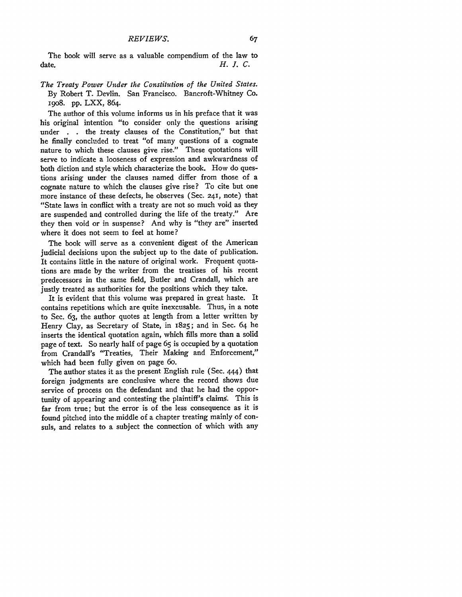The book will serve as a valuable compendium of the law to date. *H. J. C.* 

*The Treaty Power Under the Constitution of the United States.* **By** Robert T. Devlin. San Francisco. Bancroft-Whitney Co. 19o8. pp. LXX, 864.

The author of this volume informs us in his preface that it was his original intention "to consider only the questions arising under **. .** the treaty clauses of the Constitution," but that he finally concluded to treat "of many questions of a cognate nature to which these clauses give rise." These quotations will serve to indicate a looseness of expression and awkwardness of both diction and style which characterize the book. How do questions arising under the clauses named differ from those of a cognate nature to which the clauses give rise? To cite but one more instance of these defects, he observes (Sec. 241, note) that "State laws in conflict with a treaty are not so much void as they are suspended and controlled during the life of the treaty." Are they then void or in suspense? And why is "they are" inserted where it does not seem to feel at home?

The book will serve as a convenient digest of the American judicial decisions upon the subject up to the date of publication. It contains little in the nature of original work. Frequent quotations are made by the writer from the treatises of his recent predecessors in the same field, Butler and Crandall, which are justly treated as authorities for the positions which they take.

It is evident that this volume was prepared in great haste. It contains repetitions which are quite inexcusable. Thus, in a note to Sec. 63, the author quotes at length from a letter written by Henry Clay, as Secretary of State, in 1825; and in Sec. 64 he inserts the identical quotation again, which fills more than a solid page of text. So nearly half of page 65 is occupied by a quotation from Crandall's "Treaties, Their Making and Enforcement," which had been fully given on page 6o.

The author states it as the present English rule (Sec. 444) that foreign judgments are conclusive where the record shows due service of process on the defendant and that he had the opportunity of appearing and contesting the plaintiff's clains. This is far from true; but the error is of the less consequence as it is found pitched into the middle of a chapter treating mainly of consuls, and relates to a subject the connection of which with any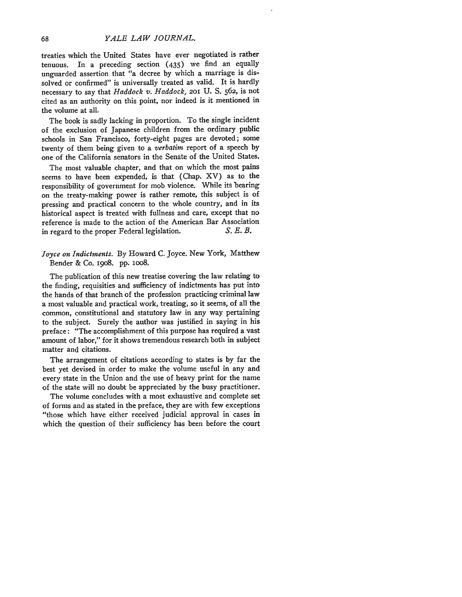treaties which the United States have ever negotiated is rather tenuous. In a preceding section (435) we find an equally unguarded assertion that "a decree by which a marriage is dissolved or confirmed" is universally treated as valid. It is hardly necessary to say that *Haddock v. Haddock*, 201 U. S. 562, is not cited as an authority on this point, nor indeed is it mentioned in the volume at all.

The book is sadly lacking in proportion. To the single incident of the exclusion of Japanese children from the ordinary public schools in San Francisco, forty-eight pages are devoted; some twenty of them being given to a *verbatim* report of a speech by one of the California senators in the Senate of the United States.

The most valuable chapter, and that on which the most pains seems to have been expended, is that (Chap. XV) as to the responsibility of government for mob violence. While its bearing on the treaty-making power is rather remote, this subject is of pressing and practical concern to the whole country, and in its historical aspect is treated with fullness and care, except that no reference is made to the action of the American Bar Association<br>in regard to the proper Federal legislation.  $S. E. B.$ in regard to the proper Federal legislation.

## *Joyce on Indictments.* **By** Howard C. Joyce. New York, Matthew Bender & Co. **19o8. pp.** ioo8.

The publication of this new treatise covering the law relating to the finding, requisities and sufficiency of indictments has put into the hands of that branch of the profession practicing criminal law a most valuable and practical work, treating, so it seems, of all the common, constitutional and statutory law in any way pertaining to the subject. Surely the author was justified in saying in his preface: "The accomplishment of this purpose has required a vast amount of labor," for it shows tremendous research both in subject matter and citations.

The arrangement of citations according to states is **by** far the best yet devised in order to make the volume useful in any and every state in the Union and the use of heavy print for the name of the state will no doubt be appreciated **by** the busy practitioner.

The volume concludes with a most exhaustive and complete set of forms and as stated in the preface, they are with few exceptions "those which have either received judicial approval in cases in which the question of their sufficiency has been before the court